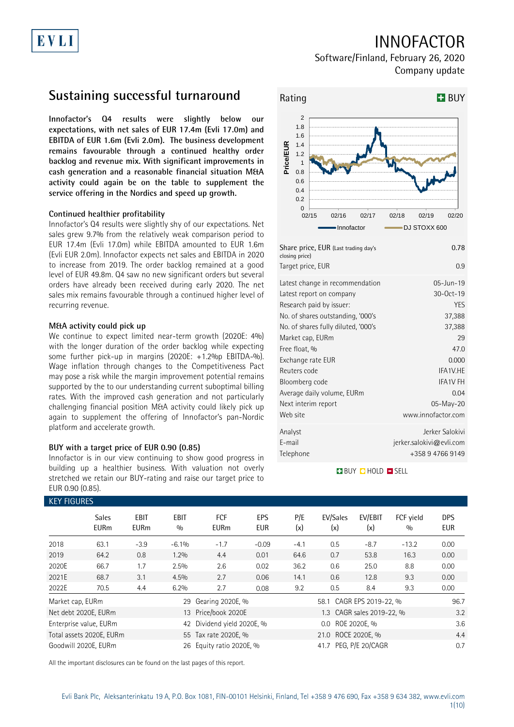# INNOFACTOR

Software/Finland, February 26, 2020 Company update

## **Sustaining successful turnaround**

**Innofactor's Q4 results were slightly below our expectations, with net sales of EUR 17.4m (Evli 17.0m) and EBITDA of EUR 1.6m (Evli 2.0m). The business development remains favourable through a continued healthy order backlog and revenue mix. With significant improvements in cash generation and a reasonable financial situation M&A activity could again be on the table to supplement the service offering in the Nordics and speed up growth.**

## **Continued healthier profitability**

EVLI

Innofactor's Q4 results were slightly shy of our expectations. Net sales grew 9.7% from the relatively weak comparison period to EUR 17.4m (Evli 17.0m) while EBITDA amounted to EUR 1.6m (Evli EUR 2.0m). Innofactor expects net sales and EBITDA in 2020 to increase from 2019. The order backlog remained at a good level of EUR 49.8m. Q4 saw no new significant orders but several orders have already been received during early 2020. The net sales mix remains favourable through a continued higher level of recurring revenue.

### **M&A activity could pick up**

We continue to expect limited near-term growth (2020E: 4%) with the longer duration of the order backlog while expecting some further pick-up in margins (2020E: +1.2%p EBITDA-%). Wage inflation through changes to the Competitiveness Pact may pose a risk while the margin improvement potential remains supported by the to our understanding current suboptimal billing rates. With the improved cash generation and not particularly challenging financial position M&A activity could likely pick up again to supplement the offering of Innofactor's pan-Nordic platform and accelerate growth.

### **BUY with a target price of EUR 0.90 (0.85)**

Innofactor is in our view continuing to show good progress in building up a healthier business. With valuation not overly stretched we retain our BUY-rating and raise our target price to EUR 0.90 (0.85).



| Share price, EUR (Last trading day's<br>closing price) | 0.78                     |
|--------------------------------------------------------|--------------------------|
| Target price, EUR                                      | 0.9                      |
| Latest change in recommendation                        | 05-Jun-19                |
| Latest report on company                               | 30-0ct-19                |
| Research paid by issuer:                               | YES                      |
| No. of shares outstanding, '000's                      | 37,388                   |
| No. of shares fully diluted, '000's                    | 37,388                   |
| Market cap, EURm                                       | 29                       |
| Free float, %                                          | 47.0                     |
| Exchange rate EUR                                      | 0.000                    |
| Reuters code                                           | IFA1V.HE                 |
| Bloomberg code                                         | <b>IFA1V FH</b>          |
| Average daily volume, EURm                             | 0.04                     |
| Next interim report                                    | 05-May-20                |
| Web site                                               | www.innofactor.com       |
| Analyst                                                | Jerker Salokivi          |
| E-mail                                                 | jerker.salokivi@evli.com |
| Telephone                                              | +358 9 4766 9149         |

### **BUY QHOLD SELL**

| <b>KEY FIGURES</b> |                             |                            |                    |                            |                   |                    |                           |                |                  |                          |
|--------------------|-----------------------------|----------------------------|--------------------|----------------------------|-------------------|--------------------|---------------------------|----------------|------------------|--------------------------|
|                    | <b>Sales</b><br><b>EURm</b> | <b>EBIT</b><br><b>EURm</b> | <b>EBIT</b><br>0/0 | <b>FCF</b><br><b>EURm</b>  | EPS<br><b>EUR</b> | P/E<br>(x)         | EV/Sales<br>(x)           | EV/EBIT<br>(x) | FCF vield<br>0/0 | <b>DPS</b><br><b>EUR</b> |
| 2018               | 63.1                        | $-3.9$                     | $-6.1%$            | $-1.7$                     | $-0.09$           | $-4.1$             | 0.5                       | $-8.7$         | $-13.2$          | 0.00                     |
| 2019               | 64.2                        | 0.8                        | $1.2\%$            | 4.4                        | 0.01              | 64.6               | 0.7                       | 53.8           | 16.3             | 0.00                     |
| 2020E              | 66.7                        | 1.7                        | 2.5%               | 2.6                        | 0.02              | 36.2               | 0.6                       | 25.0           | 8.8              | 0.00                     |
| 2021E              | 68.7                        | 3.1                        | 4.5%               | 2.7                        | 0.06              | 14.1               | 0.6                       | 12.8           | 9.3              | 0.00                     |
| 2022E              | 70.5                        | 4.4                        | 6.2%               | 2.7                        | 0.08              | 9.2                | 0.5                       | 8.4            | 9.3              | 0.00                     |
| Market cap, EURm   |                             |                            | 29                 | Gearing 2020E, %           |                   |                    | 58.1 CAGR EPS 2019-22, %  | 96.7           |                  |                          |
|                    | Net debt 2020E, EURm        |                            |                    | 13 Price/book 2020E        |                   |                    | 1.3 CAGR sales 2019-22, % | 3.2            |                  |                          |
|                    | Enterprise value, EURm      |                            |                    | 42 Dividend yield 2020E, % |                   |                    |                           | 3.6            |                  |                          |
|                    | Total assets 2020E, EURm    |                            |                    | 55 Tax rate 2020E, %       |                   | 21.0 ROCE 2020E, % |                           |                |                  | 4.4                      |
|                    | Goodwill 2020E, EURm        |                            |                    | 26 Equity ratio 2020E, %   |                   |                    | 41.7 PEG, P/E 20/CAGR     |                |                  | 0.7                      |

All the important disclosures can be found on the last pages of this report.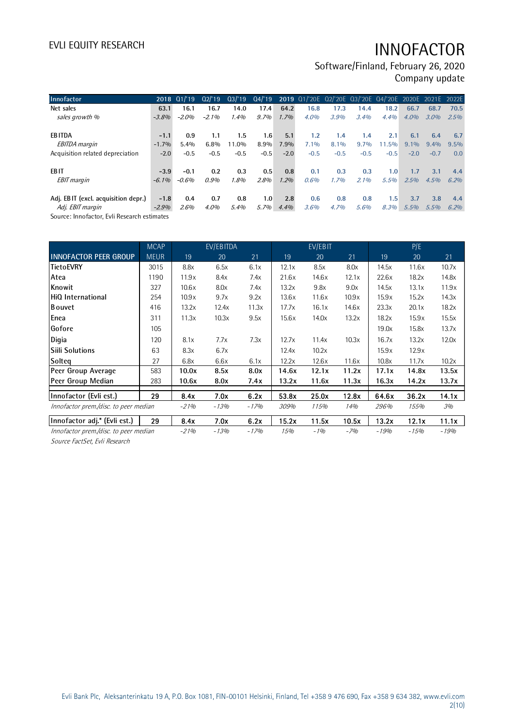Software/Finland, February 26, 2020 Company update

| Innofactor                          |          | 2018 01/19 | Q2'19   | Q3/19  |         |        |         |        | 04/'19 2019 01/'20E 02/'20E 03/'20E 04/'20E 2020E 2021E 2022E |        |         |         |      |
|-------------------------------------|----------|------------|---------|--------|---------|--------|---------|--------|---------------------------------------------------------------|--------|---------|---------|------|
|                                     |          |            |         |        |         |        |         |        |                                                               |        |         |         |      |
| Net sales                           | 63.1     | 16.1       | 16.7    | 14.0   | 17.4    | 64.2   | 16.8    | 17.3   | 14.4                                                          | 18.2   | 66.7    | 68.7    | 70.5 |
| sales growth %                      | $-3.8%$  | -2.0%      | $-2.1%$ | 1.4%   | 9.7%    | 1.7%   | 4.0%    | 3.9%   | 3.4%                                                          | 4.4%   | 4.0%    | $3.0\%$ | 2.5% |
| <b>EBITDA</b>                       | $-1.1$   | 0.9        | 1.1     | 1.5    | 1.6     | 5.1    | 1.2     | 1.4    | 1.4                                                           | 2.1    | 6.1     | 6.4     | 6.7  |
| <b>EBITDA</b> margin                | $-1.7%$  | 5.4%       | 6.8%    | 11.0%  | 8.9%    | 7.9%   | $7.1\%$ | 8.1%   | 9.7%                                                          | 11.5%  | $9.1\%$ | $9.4\%$ | 9.5% |
| Acquisition related depreciation    | $-2.0$   | $-0.5$     | $-0.5$  | $-0.5$ | $-0.5$  | $-2.0$ | $-0.5$  | $-0.5$ | $-0.5$                                                        | $-0.5$ | $-2.0$  | $-0.7$  | 0.0  |
| EB IT                               | $-3.9$   | $-0.1$     | 0.2     | 0.3    | 0.5     | 0.8    | 0.1     | 0.3    | 0.3                                                           | 1.0    | 1.7     | 3.1     | 4.4  |
| <b>EBIT</b> margin                  | $-6.1\%$ | $-0.6%$    | 0.9%    | 1.8%   | 2.8%    | 1.2%   | 0.6%    | 1.7%   | 2.1%                                                          | 5.5%   | 2.5%    | 4.5%    | 6.2% |
| Adj. EBIT (excl. acquisition depr.) | $-1.8$   | 0.4        | 0.7     | 0.8    | 1.0     | 2.8    | 0.6     | 0.8    | 0.8                                                           | 1.5    | 3.7     | 3.8     | 4.4  |
|                                     |          |            |         |        |         |        |         |        |                                                               |        |         |         |      |
| Adj. EBIT margin                    | $-2.9%$  | 2.6%       | 4.0%    | 5.4%   | $5.7\%$ | 4.4%   | 3.6%    | 4.7%   | 5.6%                                                          | 8.3%   | 5.5%    | 5.5%    | 6.2% |

Source: Innofactor, Evli Research estimates

|                                       | <b>MCAP</b> |        | EV/EBITDA |        |       | EV/EBIT |       |        | P/E    |        |
|---------------------------------------|-------------|--------|-----------|--------|-------|---------|-------|--------|--------|--------|
| <b>INNOFACTOR PEER GROUP</b>          | <b>MEUR</b> | 19     | 20        | 21     | 19    | 20      | 21    | 19     | 20     | 21     |
| TietoEVRY                             | 3015        | 8.8x   | 6.5x      | 6.1x   | 12.1x | 8.5x    | 8.0x  | 14.5x  | 11.6x  | 10.7x  |
| Atea                                  | 1190        | 11.9x  | 8.4x      | 7.4x   | 21.6x | 14.6x   | 12.1x | 22.6x  | 18.2x  | 14.8x  |
| Knowit                                | 327         | 10.6x  | 8.0x      | 7.4x   | 13.2x | 9.8x    | 9.0x  | 14.5x  | 13.1x  | 11.9x  |
| HiQ International                     | 254         | 10.9x  | 9.7x      | 9.2x   | 13.6x | 11.6x   | 10.9x | 15.9x  | 15.2x  | 14.3x  |
| <b>B</b> ouvet                        | 416         | 13.2x  | 12.4x     | 11.3x  | 17.7x | 16.1x   | 14.6x | 23.3x  | 20.1x  | 18.2x  |
| Enea                                  | 311         | 11.3x  | 10.3x     | 9.5x   | 15.6x | 14.0x   | 13.2x | 18.2x  | 15.9x  | 15.5x  |
| Gofore                                | 105         |        |           |        |       |         |       | 19.0x  | 15.8x  | 13.7x  |
| Digia                                 | 120         | 8.1x   | 7.7x      | 7.3x   | 12.7x | 11.4x   | 10.3x | 16.7x  | 13.2x  | 12.0x  |
| <b>Siili Solutions</b>                | 63          | 8.3x   | 6.7x      |        | 12.4x | 10.2x   |       | 15.9x  | 12.9x  |        |
| Solteq                                | 27          | 6.8x   | 6.6x      | 6.1x   | 12.2x | 12.6x   | 11.6x | 10.8x  | 11.7x  | 10.2x  |
| Peer Group Average                    | 583         | 10.0x  | 8.5x      | 8.0x   | 14.6x | 12.1x   | 11.2x | 17.1x  | 14.8x  | 13.5x  |
| Peer Group Median                     | 283         | 10.6x  | 8.0x      | 7.4x   | 13.2x | 11.6x   | 11.3x | 16.3x  | 14.2x  | 13.7x  |
| Innofactor (Evli est.)                | 29          | 8.4x   | 7.0x      | 6.2x   | 53.8x | 25.0x   | 12.8x | 64.6x  | 36.2x  | 14.1x  |
| Innofactor prem./disc. to peer median |             | $-21%$ | $-13%$    | $-17%$ | 309%  | 115%    | 14%   | 296%   | 155%   | 3%     |
| Innofactor adj.* (Evli est.)          | 29          | 8.4x   | 7.0x      | 6.2x   | 15.2x | 11.5x   | 10.5x | 13.2x  | 12.1x  | 11.1x  |
| Innofactor prem./disc. to peer median |             | $-21%$ | $-13%$    | $-17%$ | 15%   | $-1%$   | $-7%$ | $-19%$ | $-15%$ | $-19%$ |

Source FactSet, Evli Research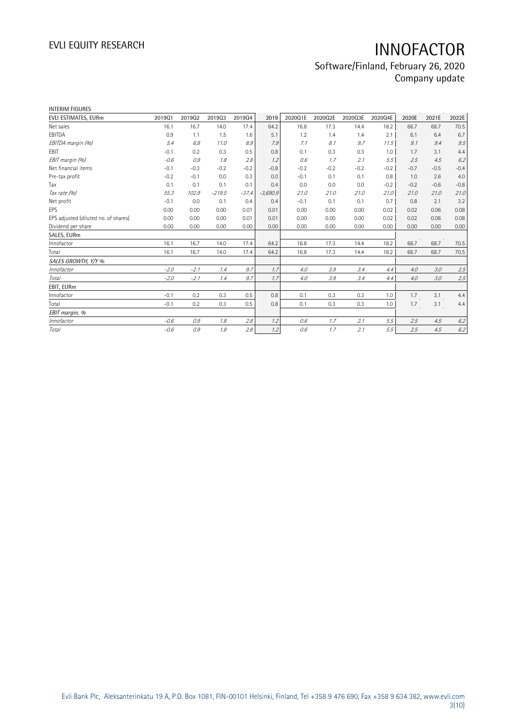## Software/Finland, February 26, 2020 Company update

| <b>INTERIM FIGURES</b>               |        |        |          |         |            |         |         |         |         |        |        |         |
|--------------------------------------|--------|--------|----------|---------|------------|---------|---------|---------|---------|--------|--------|---------|
| EVLI ESTIMATES, EURm                 | 201901 | 201902 | 201903   | 201904  | 2019       | 2020Q1E | 2020Q2E | 2020Q3E | 2020Q4E | 2020E  | 2021E  | 2022E   |
| Net sales                            | 16.1   | 16.7   | 14.0     | 17.4    | 64.2       | 16.8    | 17.3    | 14.4    | 18.2    | 66.7   | 68.7   | 70.5    |
| EBITDA                               | 0.9    | 1.1    | 1.5      | 1.6     | 5.1        | 1.2     | 1.4     | 1.4     | 2.1     | 6.1    | 6.4    | 6.7     |
| EBITDA margin (%)                    | 5.4    | 6.8    | 11.0     | 8.9     | 7.9        | 7.1     | 8.1     | 9.7     | 11.5    | 9.1    | 9.4    | 9.5     |
| EBIT                                 | $-0.1$ | 0.2    | 0.3      | 0.5     | 0.8        | 0.1     | 0.3     | 0.3     | 1.0     | 1.7    | 3.1    | 4.4     |
| EBIT margin (%)                      | $-0.6$ | 0.9    | 1.8      | 2.8     | 1.2        | 0.6     | 1.7     | 2.1     | 5.5     | 2.5    | 4.5    | 6.2     |
| Net financial items                  | $-0.1$ | $-0.3$ | $-0.2$   | $-0.2$  | $-0.8$     | $-0.2$  | $-0.2$  | $-0.2$  | $-0.2$  | $-0.7$ | $-0.5$ | $-0.4$  |
| Pre-tax profit                       | $-0.2$ | $-0.1$ | 0.0      | 0.3     | 0.0        | $-0.1$  | 0.1     | 0.1     | 0.8     | 1.0    | 2.6    | 4.0     |
| Tax                                  | 0.1    | 0.1    | 0.1      | 0.1     | 0.4        | 0.0     | 0.0     | 0.0     | $-0.2$  | $-0.2$ | $-0.6$ | $-0.8$  |
| Tax rate (%)                         | 55.3   | 102.9  | $-219.5$ | $-37.4$ | $-3,690.9$ | 21.0    | 21.0    | 21.0    | 21.0    | 21.0   | 21.0   | 21.0    |
| Net profit                           | $-0.1$ | 0.0    | 0.1      | 0.4     | 0.4        | $-0.1$  | 0.1     | 0.1     | 0.7     | 0.8    | 2.1    | 3.2     |
| EPS                                  | 0.00   | 0.00   | 0.00     | 0.01    | 0.01       | 0.00    | 0.00    | 0.00    | 0.02    | 0.02   | 0.06   | 0.08    |
| EPS adjusted (diluted no. of shares) | 0.00   | 0.00   | 0.00     | 0.01    | 0.01       | 0.00    | 0.00    | 0.00    | 0.02    | 0.02   | 0.06   | 0.08    |
| Dividend per share                   | 0.00   | 0.00   | 0.00     | 0.00    | 0.00       | 0.00    | 0.00    | 0.00    | 0.00    | 0.00   | 0.00   | 0.00    |
| SALES, EURm                          |        |        |          |         |            |         |         |         |         |        |        |         |
| Innofactor                           | 16.1   | 16.7   | 14.0     | 17.4    | 64.2       | 16.8    | 17.3    | 14.4    | 18.2    | 66.7   | 68.7   | 70.5    |
| Total                                | 16.1   | 16.7   | 14.0     | 17.4    | 64.2       | 16.8    | 17.3    | 14.4    | 18.2    | 66.7   | 68.7   | 70.5    |
| SALES GROWTH, Y/Y %                  |        |        |          |         |            |         |         |         |         |        |        |         |
| Innofactor                           | $-2.0$ | $-2.1$ | 1.4      | 9.7     | 1.7        | 4.0     | 3.9     | 3.4     | 4.4     | 4.0    | 3.0    | 2.5     |
| <b>Total</b>                         | $-2.0$ | $-2.1$ | 1.4      | 9.7     | 1.7        | 4.0     | 3.9     | 3.4     | 4.4     | 4.0    | 3.0    | $2.5\,$ |
| EBIT, EURm                           |        |        |          |         |            |         |         |         |         |        |        |         |
| Innofactor                           | $-0.1$ | 0.2    | 0.3      | 0.5     | 0.8        | 0.1     | 0.3     | 0.3     | 1.0     | 1.7    | 3.1    | 4.4     |
| Total                                | $-0.1$ | 0.2    | 0.3      | 0.5     | 0.8        | 0.1     | 0.3     | 0.3     | 1.0     | 1.7    | 3.1    | 4.4     |
| EBIT margin, %                       |        |        |          |         |            |         |         |         |         |        |        |         |
| Innofactor                           | $-0.6$ | 0.9    | 1.8      | 2.8     | 1.2        | 0.6     | 1.7     | 2.1     | 5.5     | 2.5    | 4.5    | 6.2     |
| Total                                | $-0.6$ | 0.9    | 1.8      | 2.8     | 1.2        | 0.6     | 1.7     | 2.1     | 5.5     | 2.5    | 4.5    | 6.2     |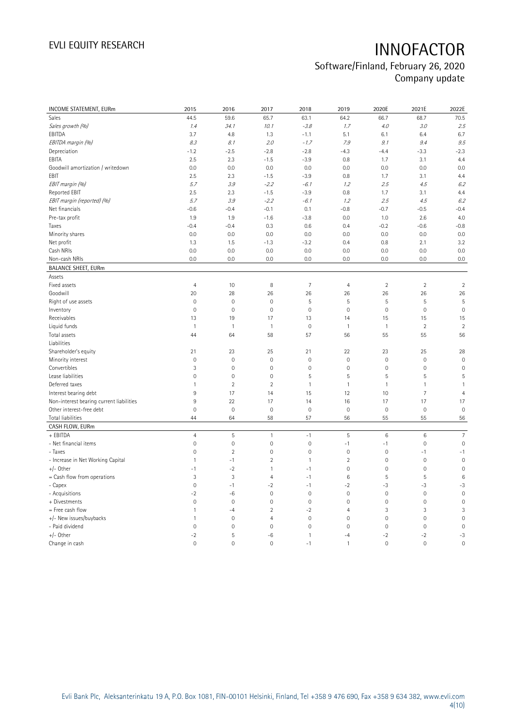## Software/Finland, February 26, 2020 Company update

| INCOME STATEMENT, EURm                   | 2015                | 2016           | 2017                | 2018           | 2019            | 2020E               | 2021E           | 2022E               |
|------------------------------------------|---------------------|----------------|---------------------|----------------|-----------------|---------------------|-----------------|---------------------|
| Sales                                    | 44.5                | 59.6           | 65.7                | 63.1           | 64.2            | 66.7                | 68.7            | 70.5                |
| Sales growth (%)                         | 1.4                 | 34.1           | 10.1                | $-3.8$         | 1.7             | 4.0                 | 3.0             | 2.5                 |
| EBITDA                                   | 3.7                 | 4.8            | 1.3                 | $-1.1$         | 5.1             | 6.1                 | 6.4             | 6.7                 |
| EBITDA margin (%)                        | 8.3                 | 8.1            | 2.0                 | $-1.7$         | 7.9             | 9.1                 | 9.4             | 9.5                 |
| Depreciation                             | $-1.2$              | $-2.5$         | $-2.8$              | $-2.8$         | $-4.3$          | $-4.4$              | $-3.3$          | $-2.3$              |
| EBITA                                    | 2.5                 | 2.3            | $-1.5$              | $-3.9$         | 0.8             | 1.7                 | 3.1             | 4.4                 |
| Goodwill amortization / writedown        | 0.0                 | 0.0            | 0.0                 | 0.0            | 0.0             | 0.0                 | 0.0             | 0.0                 |
| EBIT                                     | 2.5                 | 2.3            | $-1.5$              | $-3.9$         | 0.8             | 1.7                 | 3.1             | 4.4                 |
| EBIT margin (%)                          | 5.7                 | 3.9            | $-2.2$              | $-6.1$         | 1.2             | 2.5                 | 4.5             | 6.2                 |
| Reported EBIT                            | 2.5                 | 2.3            | $-1.5$              | $-3.9$         | 0.8             | 1.7                 | 3.1             | 4.4                 |
| EBIT margin (reported) (%)               | 5.7                 | 3.9            | $-2.2$              | $-6.1$         | 1.2             | 2.5                 | 4.5             | 6.2                 |
| Net financials                           | $-0.6$              | $-0.4$         | $-0.1$              | 0.1            | $-0.8$          | $-0.7$              | $-0.5$          | $-0.4$              |
| Pre-tax profit                           | 1.9                 | 1.9            | $-1.6$              | $-3.8$         | 0.0             | 1.0                 | 2.6             | 4.0                 |
| Taxes                                    | $-0.4$              | $-0.4$         | 0.3                 | 0.6            | 0.4             | $-0.2$              | $-0.6$          | $-0.8$              |
| Minority shares                          | 0.0                 | 0.0            | 0.0                 | 0.0            | 0.0             | 0.0                 | 0.0             | 0.0                 |
| Net profit                               | 1.3                 | 1.5            | $-1.3$              | $-3.2$         | 0.4             | 0.8                 | 2.1             | 3.2                 |
| Cash NRIs                                | 0.0                 | 0.0            | 0.0                 | 0.0            | 0.0             | 0.0                 | 0.0             | 0.0                 |
| Non-cash NRIs                            | 0.0                 | 0.0            | 0.0                 | 0.0            | 0.0             | 0.0                 | 0.0             | 0.0                 |
| <b>BALANCE SHEET, EURm</b>               |                     |                |                     |                |                 |                     |                 |                     |
| Assets                                   |                     |                |                     |                |                 |                     |                 |                     |
| Fixed assets                             | $\overline{4}$      | 10             | 8                   | $\overline{7}$ | $\overline{4}$  | $\overline{2}$      | $\overline{2}$  | $\sqrt{2}$          |
| Goodwill                                 | 20                  | 28             | 26                  | 26             | 26              | 26                  | 26              | 26                  |
| Right of use assets                      | $\mathbb O$         | $\mathbf 0$    | $\mathbf 0$         | 5              | 5               | 5                   | 5               | 5                   |
| Inventory                                | $\mathbf 0$         | $\mathbf 0$    | $\mathbf{0}$        | $\mathbf 0$    | $\mathbf 0$     | $\mathsf{O}\xspace$ | $\mathbf 0$     | $\mathbf 0$         |
| Receivables                              | 13                  | 19             | 17                  | 13             | 14              | 15                  | 15              | 15                  |
| Liquid funds                             | $\overline{1}$      | $\mathbf{1}$   | $\mathbf{1}$        | $\mathbb O$    | $\mathbf{1}$    | $\mathbf{1}$        | $\overline{2}$  | $\sqrt{2}$          |
| Total assets                             | 44                  | 64             | 58                  | 57             | 56              | 55                  | 55              | 56                  |
| Liabilities                              |                     |                |                     |                |                 |                     |                 |                     |
| Shareholder's equity                     | 21                  | 23             | 25                  | 21             | 22              | 23                  | 25              | 28                  |
| Minority interest                        | $\mathbb O$         | $\mathbf 0$    | $\mathbf 0$         | $\mathbf 0$    | $\mathbf 0$     | $\mathsf{O}\xspace$ | $\mathbf 0$     | $\mathbf 0$         |
| Convertibles                             | 3                   | $\mathbf 0$    | $\mathbf 0$         | $\mathbf 0$    | $\mathbf 0$     | $\mathbb O$         | $\mathbf 0$     | $\mathsf{O}\xspace$ |
| Lease liabilities                        | $\mathbf 0$         | $\mathbf 0$    | $\mathbf 0$         | 5              | 5               | 5                   | 5               | 5                   |
| Deferred taxes                           | 1                   | $\sqrt{2}$     | $\overline{2}$      | $\mathbf{1}$   | $\mathbf{1}$    | $\mathbbm{1}$       | $\overline{1}$  | $\mathbf{1}$        |
| Interest bearing debt                    | 9                   | 17             | 14                  | 15             | 12              | 10                  | $\overline{7}$  | $\overline{4}$      |
| Non-interest bearing current liabilities | $9\,$               | 22             | 17                  | 14             | 16              | 17                  | 17              | 17                  |
| Other interest-free debt                 | $\mathbb O$         | $\mathbf 0$    | $\mathbf 0$         | $\mathbf 0$    | $\mathbf 0$     | $\mathsf{O}\xspace$ | $\mathbf 0$     | $\mathbf 0$         |
| Total liabilities                        | 44                  | 64             | 58                  | 57             | 56              | 55                  | 55              | 56                  |
| CASH FLOW, EURm                          |                     |                |                     |                |                 |                     |                 |                     |
| + EBITDA                                 | $\overline{4}$      | 5              | $\mathbf{1}$        | $-1$           | 5               | $\,6\,$             | $6\phantom{1}6$ | $\overline{7}$      |
| - Net financial items                    | $\mathsf{O}\xspace$ | $\mathbf 0$    | $\mathbb O$         | $\mathbf 0$    | $-1$            | $-1$                | $\mathbf 0$     | $\mathsf{O}\xspace$ |
| - Taxes                                  | $\mathsf{O}\xspace$ | $\sqrt{2}$     | $\mathbf 0$         | $\mathbf 0$    | $\mathbf 0$     | $\mathbb O$         | $-1$            | $-1$                |
| - Increase in Net Working Capital        | $\mathbf{1}$        | -1             | $\overline{2}$      | $\mathbf{1}$   | $\overline{2}$  | $\mathsf{O}\xspace$ | $\mathbf 0$     | $\mathbf 0$         |
| $+/-$ Other                              | $-1$                | $-2$           | $\mathbf{1}$        | $-1$           | $\mathbf 0$     | $\mathsf{O}\xspace$ | $\mathbf 0$     | $\mathbf 0$         |
| = Cash flow from operations              | $\sqrt{3}$          | 3              | $\overline{4}$      | $-1$           | $6\phantom{1}6$ | 5                   | 5               | $6\phantom{1}6$     |
| - Capex                                  | $\mathsf{O}\xspace$ | $-1$           | $-2$                | $-1$           | $-2$            | $-3$                | $-3$            | $-3$                |
| - Acquisitions                           | $-2$                | -6             | $\mathbf 0$         | $\mathbf 0$    | $\mathbf 0$     | $\mathbb O$         | $\mathbf 0$     | $\mathbf 0$         |
| + Divestments                            | $\mathsf{O}\xspace$ | $\mathbf 0$    | $\mathsf{O}\xspace$ | $\mathbf 0$    | $\mathbf 0$     | $\mathsf{O}\xspace$ | $\mathbf 0$     | $\mathsf{O}\xspace$ |
| = Free cash flow                         | $\mathbf{1}$        | $-4$           | $\overline{2}$      | $-2$           | $\overline{4}$  | 3                   | 3               | 3                   |
| +/- New issues/buybacks                  | $\mathbf{1}$        | $\mathbf 0$    | 4                   | $\circ$        | $\overline{0}$  | $\mathbf 0$         | $\mathbf{0}$    | $\overline{0}$      |
| - Paid dividend                          | $\mathbb O$         | $\mathbf 0$    | $\mathbf 0$         | $\mathbf 0$    | $\mathbf 0$     | $\mathsf{O}\xspace$ | $\mathbf 0$     | $\mathsf{O}\xspace$ |
| $+/-$ Other                              | $-2$                | 5              | $-6$                | $\mathbf{1}$   | $-4$            | $-2$                | $-2$            | $-3$                |
| Change in cash                           | $\circ$             | $\overline{0}$ | $\overline{0}$      | $-1$           | $\mathbf{1}$    | $\mathbf 0$         | $\overline{0}$  | $\overline{0}$      |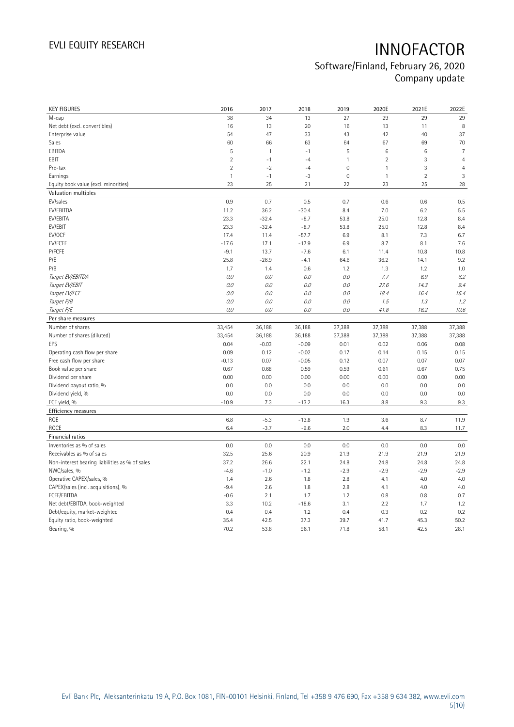## Software/Finland, February 26, 2020 Company update

| <b>KEY FIGURES</b>                                 | 2016             | 2017            | 2018             | 2019                | 2020E           | 2021E          | 2022E          |
|----------------------------------------------------|------------------|-----------------|------------------|---------------------|-----------------|----------------|----------------|
| M-cap                                              | 38               | 34              | 13               | 27                  | 29              | 29             | 29             |
| Net debt (excl. convertibles)                      | 16               | 13              | 20               | 16                  | 13              | 11             | 8              |
| Enterprise value                                   | 54               | 47              | 33               | 43                  | 42              | 40             | 37             |
| Sales                                              | 60               | 66              | 63               | 64                  | 67              | 69             | 70             |
| EBITDA                                             | 5                | $\overline{1}$  | $-1$             | 5                   | $6\phantom{1}6$ | 6              | $\overline{7}$ |
| EBIT                                               | $\overline{2}$   | $-1$            | $-4$             | $\mathbf{1}$        | $\overline{2}$  | 3              | $\overline{4}$ |
| Pre-tax                                            | $\overline{2}$   | $-2$            | $-4$             | $\mathsf{O}\xspace$ | $\mathbf{1}$    | 3              | $\overline{4}$ |
| Earnings                                           | $\mathbf{1}$     | $-1$            | $-3$             | $\mathsf{O}\xspace$ | $\mathbf{1}$    | $\overline{2}$ | 3              |
| Equity book value (excl. minorities)               | 23               | 25              | 21               | 22                  | 23              | 25             | 28             |
| Valuation multiples                                |                  |                 |                  |                     |                 |                |                |
| EV/sales                                           | 0.9              | 0.7             | 0.5              | 0.7                 | 0.6             | 0.6            | 0.5            |
| EV/EBITDA                                          | 11.2             | 36.2            | $-30.4$          | 8.4                 | 7.0             | 6.2            | 5.5            |
| EV/EBITA                                           | 23.3             | $-32.4$         | $-8.7$           | 53.8                | 25.0            | 12.8           | 8.4            |
| EV/EBIT                                            | 23.3             | $-32.4$         | $-8.7$           | 53.8                | 25.0            | 12.8           | 8.4            |
| EV/OCF                                             | 17.4             | 11.4            | $-57.7$          | 6.9                 | 8.1             | 7.3            | 6.7            |
| EV/FCFF                                            | $-17.6$          | 17.1            | $-17.9$          | 6.9                 | 8.7             | 8.1            | 7.6            |
| P/FCFE                                             | $-9.1$           | 13.7            | $-7.6$           | 6.1                 | 11.4            | 10.8           | 10.8           |
| P/E                                                | 25.8             | $-26.9$         | $-4.1$           | 64.6                | 36.2            | 14.1           | 9.2            |
| P/B                                                | 1.7              | 1.4             | 0.6              | 1.2                 | 1.3             | 1.2            | 1.0            |
| Target EV/EBITDA                                   | 0.0              | 0.0             | 0.0              | 0.0                 | 7.7             | 6.9            | 6.2            |
| Target EV/EBIT                                     | 0.0              | 0.0             | 0.0              | 0.0                 | 27.6            | 14.3           | 9.4            |
| Target EV/FCF                                      | 0.0              | 0.0             | 0.0              | 0.0                 | 18.4            | 16.4           | 15.4           |
| Target P/B                                         | O.O              | 0.0             | 0.0              | 0.0                 | 1.5             | 1.3            | 1.2            |
| Target P/E                                         | O.O              | 0.0             | 0.0              | 0.0                 | 41.8            | 16.2           | 10.6           |
| Per share measures                                 |                  |                 |                  |                     |                 |                |                |
|                                                    |                  |                 |                  |                     |                 |                |                |
| Number of shares                                   |                  |                 |                  |                     |                 |                |                |
| Number of shares (diluted)                         | 33,454<br>33,454 | 36,188          | 36,188<br>36,188 | 37,388              | 37,388          | 37,388         | 37,388         |
| EPS                                                | 0.04             | 36,188          | $-0.09$          | 37,388              | 37,388          | 37,388         | 37,388         |
| Operating cash flow per share                      | 0.09             | $-0.03$<br>0.12 | $-0.02$          | 0.01<br>0.17        | 0.02<br>0.14    | 0.06<br>0.15   | 0.08<br>0.15   |
| Free cash flow per share                           | $-0.13$          | 0.07            | $-0.05$          | 0.12                | 0.07            | 0.07           | 0.07           |
| Book value per share                               | 0.67             | 0.68            | 0.59             | 0.59                | 0.61            | 0.67           | 0.75           |
| Dividend per share                                 | 0.00             | 0.00            | 0.00             | 0.00                | 0.00            | 0.00           | 0.00           |
|                                                    | 0.0              | 0.0             | 0.0              | 0.0                 | 0.0             | 0.0            | 0.0            |
| Dividend payout ratio, %<br>Dividend yield, %      | 0.0              | 0.0             | 0.0              | 0.0                 | 0.0             | 0.0            | 0.0            |
| FCF yield, %                                       | $-10.9$          | 7.3             | $-13.2$          | 16.3                | 8.8             | 9.3            | 9.3            |
| Efficiency measures                                |                  |                 |                  |                     |                 |                |                |
| <b>ROE</b>                                         | 6.8              | $-5.3$          | $-13.8$          | 1.9                 | 3.6             | 8.7            | 11.9           |
| <b>ROCE</b>                                        | 6.4              | $-3.7$          | $-9.6$           | 2.0                 | 4.4             | 8.3            | 11.7           |
| Financial ratios                                   |                  |                 |                  |                     |                 |                |                |
| Inventories as % of sales                          | 0.0              | 0.0             | 0.0              | 0.0                 | 0.0             | 0.0            | 0.0            |
| Receivables as % of sales                          | 32.5             | 25.6            | 20.9             | 21.9                | 21.9            | 21.9           | 21.9           |
| Non-interest bearing liabilities as % of sales     | 37.2             | 26.6            | 22.1             | 24.8                | 24.8            | 24.8           | 24.8           |
| NWC/sales, %                                       | $-4.6$           | $-1.0$          | $-1.2$           | $-2.9$              | $-2.9$          | $-2.9$         | $-2.9$         |
|                                                    | 1.4              | 2.6             | 1.8              | 2.8                 | 4.1             | 4.0            | 4.0            |
| Operative CAPEX/sales, %                           | $-9.4$           | 2.6             | 1.8              | 2.8                 | 4.1             | 4.0            | 4.0            |
| CAPEX/sales (incl. acquisitions), %<br>FCFF/EBITDA | $-0.6$           | 2.1             | 1.7              | 1.2                 | 0.8             | 0.8            | 0.7            |
| Net debt/EBITDA, book-weighted                     | 3.3              | 10.2            | $-18.6$          | 3.1                 | 2.2             | 1.7            | 1.2            |
| Debt/equity, market-weighted                       | 0.4              | 0.4             | 1.2              | 0.4                 | 0.3             | 0.2            | 0.2            |
| Equity ratio, book-weighted                        | 35.4             | 42.5            | 37.3             | 39.7                | 41.7            | 45.3           | 50.2           |
| Gearing, %                                         | 70.2             | 53.8            | 96.1             | 71.8                | 58.1            | 42.5           | 28.1           |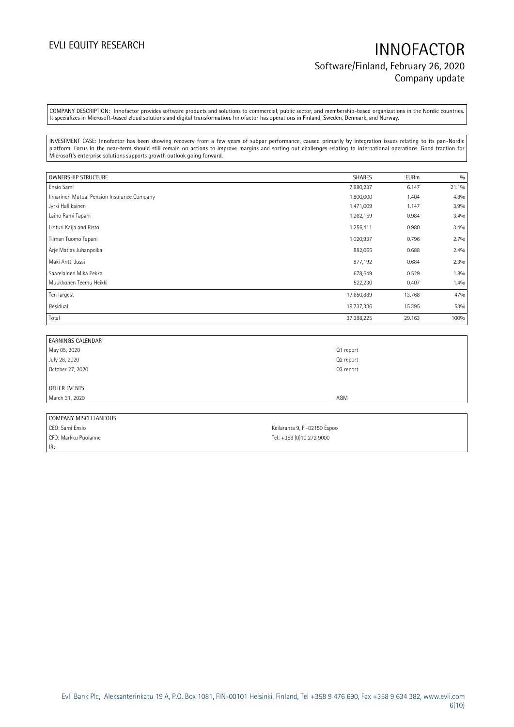# EVLI EQUITY RESEARCH **INNOFACTOR** Software/Finland, February 26, 2020 Company update

COMPANY DESCRIPTION: Innofactor provides software products and solutions to commercial, public sector, and membership-based organizations in the Nordic countries. It specializes in Microsoft-based cloud solutions and digital transformation. Innofactor has operations in Finland, Sweden, Denmark, and Norway.

INVESTMENT CASE: Innofactor has been showing recovery from a few years of subpar performance, caused primarily by integration issues relating to its pan-Nordic platform. Focus in the near-term should still remain on actions to improve margins and sorting out challenges relating to international operations. Good traction for Microsoft's enterprise solutions supports growth outlook going forward.

| <b>OWNERSHIP STRUCTURE</b>                 | SHARES     | <b>EURm</b> | 0/0   |
|--------------------------------------------|------------|-------------|-------|
| Ensio Sami                                 | 7,880,237  | 6.147       | 21.1% |
| Ilmarinen Mutual Pension Insurance Company | 1,800,000  | 1.404       | 4.8%  |
| Jyrki Hallikainen                          | 1,471,009  | 1.147       | 3.9%  |
| Laiho Rami Tapani                          | 1,262,159  | 0.984       | 3.4%  |
| Linturi Kaija and Risto                    | 1,256,411  | 0.980       | 3.4%  |
| Tilman Tuomo Tapani                        | 1,020,937  | 0.796       | 2.7%  |
| Ärje Matias Juhanpoika                     | 882,065    | 0.688       | 2.4%  |
| Mäki Antti Jussi                           | 877,192    | 0.684       | 2.3%  |
| Saarelainen Mika Pekka                     | 678,649    | 0.529       | 1.8%  |
| Muukkonen Teemu Heikki                     | 522,230    | 0.407       | 1.4%  |
| Ten largest                                | 17,650,889 | 13.768      | 47%   |
| Residual                                   | 19,737,336 | 15.395      | 53%   |
| Total                                      | 37,388,225 | 29.163      | 100%  |

| <b>EARNINGS CALENDAR</b> |           |
|--------------------------|-----------|
| May 05, 2020             | Q1 report |
| July 28, 2020            | Q2 report |
| October 27, 2020         | Q3 report |
|                          |           |
| OTHER EVENTS             |           |
| March 31, 2020           | AGM       |
|                          |           |

| COMPANY MISCELLANEOUS |                              |
|-----------------------|------------------------------|
| CEO: Sami Ensio       | Keilaranta 9, FI-02150 Espoo |
| CFO: Markku Puolanne  | Tel: +358 (0)10 272 9000     |
| IR:                   |                              |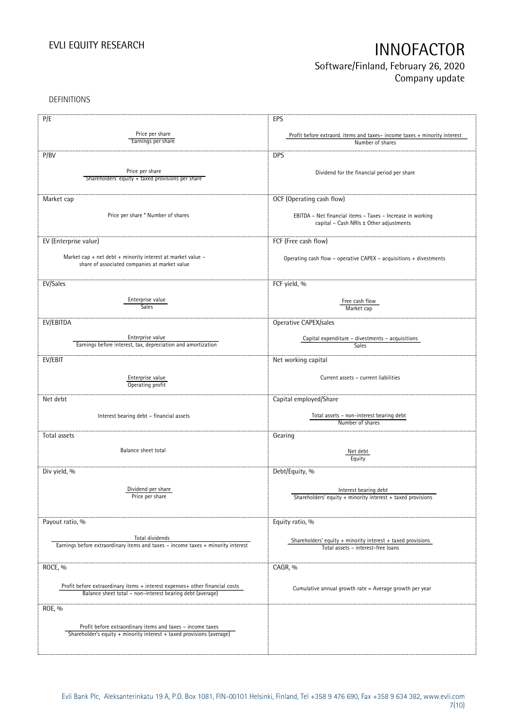## Software/Finland, February 26, 2020 Company update

DEFINITIONS

| P/E                                                                              | EPS                                                                                                   |
|----------------------------------------------------------------------------------|-------------------------------------------------------------------------------------------------------|
|                                                                                  |                                                                                                       |
| Price per share                                                                  | Profit before extraord. items and taxes-income taxes + minority interest                              |
| Earnings per share                                                               | Number of shares                                                                                      |
| P/BV                                                                             | <b>DPS</b>                                                                                            |
|                                                                                  |                                                                                                       |
| Price per share                                                                  | Dividend for the financial period per share                                                           |
| Shareholders' equity + taxed provisions per share                                |                                                                                                       |
|                                                                                  |                                                                                                       |
| Market cap                                                                       | OCF (Operating cash flow)                                                                             |
|                                                                                  |                                                                                                       |
| Price per share * Number of shares                                               | EBITDA - Net financial items - Taxes - Increase in working                                            |
|                                                                                  | capital - Cash NRIs ± Other adjustments                                                               |
|                                                                                  |                                                                                                       |
| EV (Enterprise value)                                                            | FCF (Free cash flow)                                                                                  |
|                                                                                  |                                                                                                       |
| Market cap + net debt + minority interest at market value -                      | Operating cash flow - operative CAPEX - acquisitions + divestments                                    |
| share of associated companies at market value                                    |                                                                                                       |
|                                                                                  |                                                                                                       |
| EV/Sales                                                                         | FCF yield, %                                                                                          |
|                                                                                  |                                                                                                       |
| Enterprise value                                                                 | Free cash flow                                                                                        |
| <b>Sales</b>                                                                     | Market cap                                                                                            |
|                                                                                  |                                                                                                       |
| EV/EBITDA                                                                        | Operative CAPEX/sales                                                                                 |
|                                                                                  |                                                                                                       |
| Enterprise value                                                                 | Capital expenditure - divestments - acquisitions                                                      |
| Earnings before interest, tax, depreciation and amortization                     | Sales                                                                                                 |
| EV/EBIT                                                                          | Net working capital                                                                                   |
|                                                                                  |                                                                                                       |
| Enterprise value                                                                 | Current assets - current liabilities                                                                  |
| Operating profit                                                                 |                                                                                                       |
|                                                                                  |                                                                                                       |
| Net debt                                                                         | Capital employed/Share                                                                                |
|                                                                                  |                                                                                                       |
| Interest bearing debt - financial assets                                         | Total assets - non-interest bearing debt                                                              |
|                                                                                  | Number of shares                                                                                      |
| Total assets                                                                     | Gearing                                                                                               |
|                                                                                  |                                                                                                       |
| Balance sheet total                                                              | Net debt                                                                                              |
|                                                                                  | Equity                                                                                                |
|                                                                                  |                                                                                                       |
| Div yield, %                                                                     | Debt/Equity, %                                                                                        |
|                                                                                  |                                                                                                       |
| Dividend per share<br>Price per share                                            | Interest bearing debt                                                                                 |
|                                                                                  | Shareholders' equity $+$ minority interest $+$ taxed provisions                                       |
|                                                                                  |                                                                                                       |
| Payout ratio, %                                                                  | Equity ratio, %                                                                                       |
|                                                                                  |                                                                                                       |
| Total dividends                                                                  |                                                                                                       |
| Earnings before extraordinary items and taxes - income taxes + minority interest | Shareholders' equity $+$ minority interest $+$ taxed provisions<br>Total assets - interest-free loans |
|                                                                                  |                                                                                                       |
|                                                                                  |                                                                                                       |
| ROCE, %                                                                          | CAGR, %                                                                                               |
|                                                                                  |                                                                                                       |
| Profit before extraordinary items + interest expenses+ other financial costs     | Cumulative annual growth rate = Average growth per year                                               |
| Balance sheet total - non-interest bearing debt (average)                        |                                                                                                       |
|                                                                                  |                                                                                                       |
| ROE, %                                                                           |                                                                                                       |
|                                                                                  |                                                                                                       |
| Profit before extraordinary items and taxes - income taxes                       |                                                                                                       |
| Shareholder's equity + minority interest + taxed provisions (average)            |                                                                                                       |
|                                                                                  |                                                                                                       |
|                                                                                  |                                                                                                       |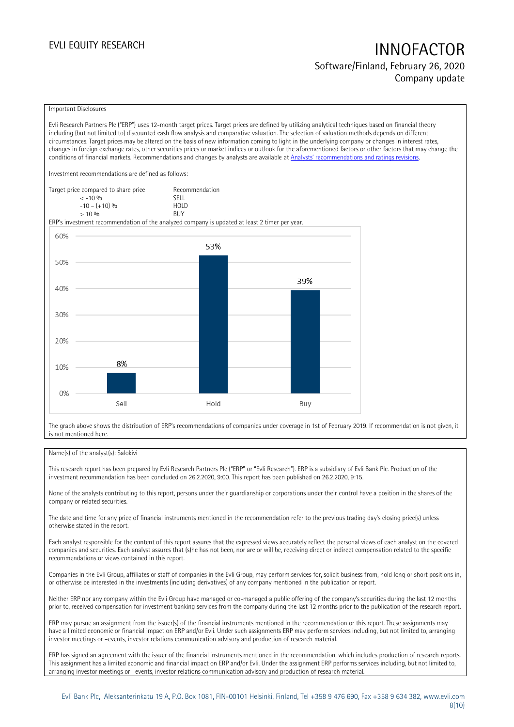# EVLI EQUITY RESEARCH **INNOFACTOR** Software/Finland, February 26, 2020

Company update

### Important Disclosures

Evli Research Partners Plc ("ERP") uses 12-month target prices. Target prices are defined by utilizing analytical techniques based on financial theory including (but not limited to) discounted cash flow analysis and comparative valuation. The selection of valuation methods depends on different circumstances. Target prices may be altered on the basis of new information coming to light in the underlying company or changes in interest rates, changes in foreign exchange rates, other securities prices or market indices or outlook for the aforementioned factors or other factors that may change the conditions of financial markets. Recommendations and changes by analysts are available at [Analysts' recommendations and ratings revisions](https://research.evli.com/JasperAllModels.action?authParam=key;461&authParam=x;G3rNagWrtf7K&authType=3).

Investment recommendations are defined as follows:

| Target price compared to share price | Recommendation                |
|--------------------------------------|-------------------------------|
| $<-10.96$                            | <b>SELL</b>                   |
| $-10 - (+10)$ %                      | H <sub>O</sub> I <sub>D</sub> |
| $> 10\%$                             | <b>BUY</b>                    |

ERP's investment recommendation of the analyzed company is updated at least 2 timer per year.



The graph above shows the distribution of ERP's recommendations of companies under coverage in 1st of February 2019. If recommendation is not given, it is not mentioned here.

### Name(s) of the analyst(s): Salokivi

This research report has been prepared by Evli Research Partners Plc ("ERP" or "Evli Research"). ERP is a subsidiary of Evli Bank Plc. Production of the investment recommendation has been concluded on 26.2.2020, 9:00. This report has been published on 26.2.2020, 9:15.

None of the analysts contributing to this report, persons under their guardianship or corporations under their control have a position in the shares of the company or related securities.

The date and time for any price of financial instruments mentioned in the recommendation refer to the previous trading day's closing price(s) unless otherwise stated in the report.

Each analyst responsible for the content of this report assures that the expressed views accurately reflect the personal views of each analyst on the covered companies and securities. Each analyst assures that (s)he has not been, nor are or will be, receiving direct or indirect compensation related to the specific recommendations or views contained in this report.

Companies in the Evli Group, affiliates or staff of companies in the Evli Group, may perform services for, solicit business from, hold long or short positions in, or otherwise be interested in the investments (including derivatives) of any company mentioned in the publication or report.

Neither ERP nor any company within the Evli Group have managed or co-managed a public offering of the company's securities during the last 12 months prior to, received compensation for investment banking services from the company during the last 12 months prior to the publication of the research report.

ERP may pursue an assignment from the issuer(s) of the financial instruments mentioned in the recommendation or this report. These assignments may have a limited economic or financial impact on ERP and/or Evli. Under such assignments ERP may perform services including, but not limited to, arranging investor meetings or –events, investor relations communication advisory and production of research material.

ERP has signed an agreement with the issuer of the financial instruments mentioned in the recommendation, which includes production of research reports. This assignment has a limited economic and financial impact on ERP and/or Evli. Under the assignment ERP performs services including, but not limited to, arranging investor meetings or –events, investor relations communication advisory and production of research material.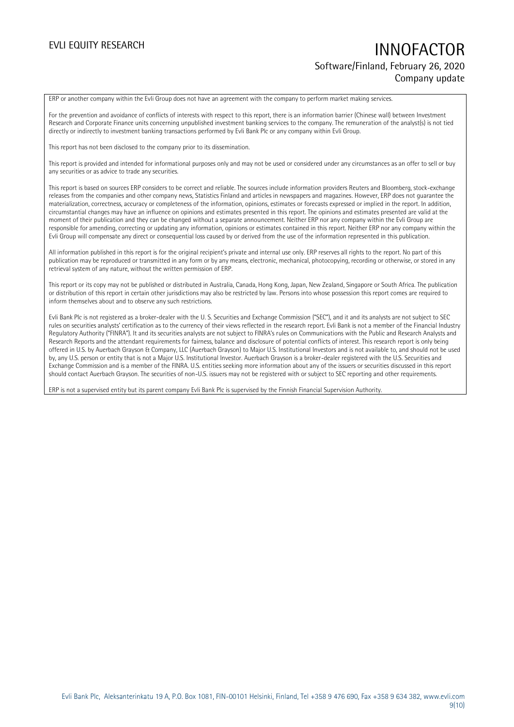# EVLI EQUITY RESEARCH **INNOFACTOR** Software/Finland, February 26, 2020 Company update

ERP or another company within the Evli Group does not have an agreement with the company to perform market making services.

For the prevention and avoidance of conflicts of interests with respect to this report, there is an information barrier (Chinese wall) between Investment Research and Corporate Finance units concerning unpublished investment banking services to the company. The remuneration of the analyst(s) is not tied directly or indirectly to investment banking transactions performed by Evli Bank Plc or any company within Evli Group.

This report has not been disclosed to the company prior to its dissemination.

This report is provided and intended for informational purposes only and may not be used or considered under any circumstances as an offer to sell or buy any securities or as advice to trade any securities.

This report is based on sources ERP considers to be correct and reliable. The sources include information providers Reuters and Bloomberg, stock-exchange releases from the companies and other company news, Statistics Finland and articles in newspapers and magazines. However, ERP does not guarantee the materialization, correctness, accuracy or completeness of the information, opinions, estimates or forecasts expressed or implied in the report. In addition, circumstantial changes may have an influence on opinions and estimates presented in this report. The opinions and estimates presented are valid at the moment of their publication and they can be changed without a separate announcement. Neither ERP nor any company within the Evli Group are responsible for amending, correcting or updating any information, opinions or estimates contained in this report. Neither ERP nor any company within the Evli Group will compensate any direct or consequential loss caused by or derived from the use of the information represented in this publication.

All information published in this report is for the original recipient's private and internal use only. ERP reserves all rights to the report. No part of this publication may be reproduced or transmitted in any form or by any means, electronic, mechanical, photocopying, recording or otherwise, or stored in any retrieval system of any nature, without the written permission of ERP.

This report or its copy may not be published or distributed in Australia, Canada, Hong Kong, Japan, New Zealand, Singapore or South Africa. The publication or distribution of this report in certain other jurisdictions may also be restricted by law. Persons into whose possession this report comes are required to inform themselves about and to observe any such restrictions.

Evli Bank Plc is not registered as a broker-dealer with the U. S. Securities and Exchange Commission ("SEC"), and it and its analysts are not subject to SEC rules on securities analysts' certification as to the currency of their views reflected in the research report. Evli Bank is not a member of the Financial Industry Regulatory Authority ("FINRA"). It and its securities analysts are not subject to FINRA's rules on Communications with the Public and Research Analysts and Research Reports and the attendant requirements for fairness, balance and disclosure of potential conflicts of interest. This research report is only being offered in U.S. by Auerbach Grayson & Company, LLC (Auerbach Grayson) to Major U.S. Institutional Investors and is not available to, and should not be used by, any U.S. person or entity that is not a Major U.S. Institutional Investor. Auerbach Grayson is a broker-dealer registered with the U.S. Securities and Exchange Commission and is a member of the FINRA. U.S. entities seeking more information about any of the issuers or securities discussed in this report should contact Auerbach Grayson. The securities of non-U.S. issuers may not be registered with or subject to SEC reporting and other requirements.

ERP is not a supervised entity but its parent company Evli Bank Plc is supervised by the Finnish Financial Supervision Authority.